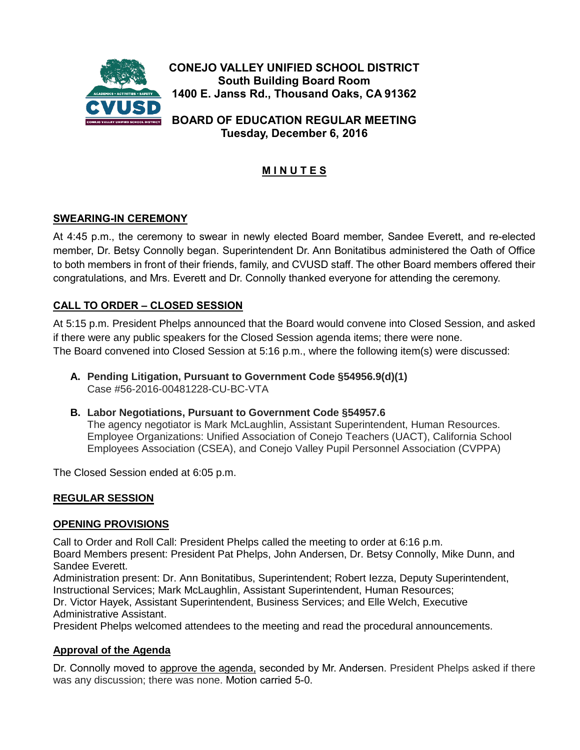

**Tuesday, December 6, 2016**

# **M I N U T E S**

# **SWEARING-IN CEREMONY**

At 4:45 p.m., the ceremony to swear in newly elected Board member, Sandee Everett, and re-elected member, Dr. Betsy Connolly began. Superintendent Dr. Ann Bonitatibus administered the Oath of Office to both members in front of their friends, family, and CVUSD staff. The other Board members offered their congratulations, and Mrs. Everett and Dr. Connolly thanked everyone for attending the ceremony.

### **CALL TO ORDER – CLOSED SESSION**

At 5:15 p.m. President Phelps announced that the Board would convene into Closed Session, and asked if there were any public speakers for the Closed Session agenda items; there were none. The Board convened into Closed Session at 5:16 p.m., where the following item(s) were discussed:

- **A. Pending Litigation, Pursuant to Government Code §54956.9(d)(1)** Case #56-2016-00481228-CU-BC-VTA
- **B. Labor Negotiations, Pursuant to Government Code §54957.6**

The agency negotiator is Mark McLaughlin, Assistant Superintendent, Human Resources. Employee Organizations: Unified Association of Conejo Teachers (UACT), California School Employees Association (CSEA), and Conejo Valley Pupil Personnel Association (CVPPA)

The Closed Session ended at 6:05 p.m.

#### **REGULAR SESSION**

#### **OPENING PROVISIONS**

Call to Order and Roll Call: President Phelps called the meeting to order at 6:16 p.m. Board Members present: President Pat Phelps, John Andersen, Dr. Betsy Connolly, Mike Dunn, and Sandee Everett.

Administration present: Dr. Ann Bonitatibus, Superintendent; Robert Iezza, Deputy Superintendent, Instructional Services; Mark McLaughlin, Assistant Superintendent, Human Resources;

Dr. Victor Hayek, Assistant Superintendent, Business Services; and Elle Welch, Executive Administrative Assistant.

President Phelps welcomed attendees to the meeting and read the procedural announcements.

#### **Approval of the Agenda**

Dr. Connolly moved to approve the agenda, seconded by Mr. Andersen. President Phelps asked if there was any discussion; there was none. Motion carried 5-0.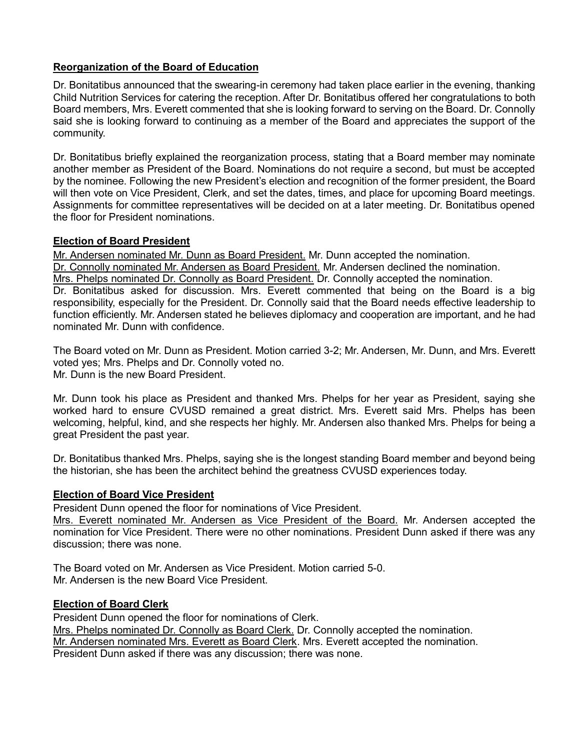# **Reorganization of the Board of Education**

Dr. Bonitatibus announced that the swearing-in ceremony had taken place earlier in the evening, thanking Child Nutrition Services for catering the reception. After Dr. Bonitatibus offered her congratulations to both Board members, Mrs. Everett commented that she is looking forward to serving on the Board. Dr. Connolly said she is looking forward to continuing as a member of the Board and appreciates the support of the community.

Dr. Bonitatibus briefly explained the reorganization process, stating that a Board member may nominate another member as President of the Board. Nominations do not require a second, but must be accepted by the nominee. Following the new President's election and recognition of the former president, the Board will then vote on Vice President, Clerk, and set the dates, times, and place for upcoming Board meetings. Assignments for committee representatives will be decided on at a later meeting. Dr. Bonitatibus opened the floor for President nominations.

### **Election of Board President**

Mr. Andersen nominated Mr. Dunn as Board President. Mr. Dunn accepted the nomination. Dr. Connolly nominated Mr. Andersen as Board President. Mr. Andersen declined the nomination. Mrs. Phelps nominated Dr. Connolly as Board President. Dr. Connolly accepted the nomination. Dr. Bonitatibus asked for discussion. Mrs. Everett commented that being on the Board is a big responsibility, especially for the President. Dr. Connolly said that the Board needs effective leadership to function efficiently. Mr. Andersen stated he believes diplomacy and cooperation are important, and he had nominated Mr. Dunn with confidence.

The Board voted on Mr. Dunn as President. Motion carried 3-2; Mr. Andersen, Mr. Dunn, and Mrs. Everett voted yes; Mrs. Phelps and Dr. Connolly voted no. Mr. Dunn is the new Board President.

Mr. Dunn took his place as President and thanked Mrs. Phelps for her year as President, saying she worked hard to ensure CVUSD remained a great district. Mrs. Everett said Mrs. Phelps has been welcoming, helpful, kind, and she respects her highly. Mr. Andersen also thanked Mrs. Phelps for being a great President the past year.

Dr. Bonitatibus thanked Mrs. Phelps, saying she is the longest standing Board member and beyond being the historian, she has been the architect behind the greatness CVUSD experiences today.

# **Election of Board Vice President**

President Dunn opened the floor for nominations of Vice President.

Mrs. Everett nominated Mr. Andersen as Vice President of the Board. Mr. Andersen accepted the nomination for Vice President. There were no other nominations. President Dunn asked if there was any discussion; there was none.

The Board voted on Mr. Andersen as Vice President. Motion carried 5-0. Mr. Andersen is the new Board Vice President.

#### **Election of Board Clerk**

President Dunn opened the floor for nominations of Clerk. Mrs. Phelps nominated Dr. Connolly as Board Clerk. Dr. Connolly accepted the nomination. Mr. Andersen nominated Mrs. Everett as Board Clerk. Mrs. Everett accepted the nomination. President Dunn asked if there was any discussion; there was none.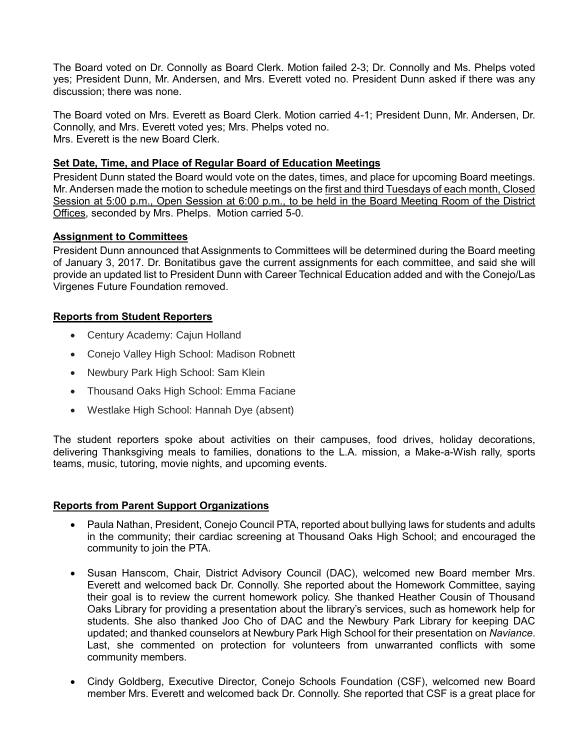The Board voted on Dr. Connolly as Board Clerk. Motion failed 2-3; Dr. Connolly and Ms. Phelps voted yes; President Dunn, Mr. Andersen, and Mrs. Everett voted no. President Dunn asked if there was any discussion; there was none.

The Board voted on Mrs. Everett as Board Clerk. Motion carried 4-1; President Dunn, Mr. Andersen, Dr. Connolly, and Mrs. Everett voted yes; Mrs. Phelps voted no. Mrs. Everett is the new Board Clerk.

### **Set Date, Time, and Place of Regular Board of Education Meetings**

President Dunn stated the Board would vote on the dates, times, and place for upcoming Board meetings. Mr. Andersen made the motion to schedule meetings on the first and third Tuesdays of each month, Closed Session at 5:00 p.m., Open Session at 6:00 p.m., to be held in the Board Meeting Room of the District Offices, seconded by Mrs. Phelps. Motion carried 5-0.

### **Assignment to Committees**

President Dunn announced that Assignments to Committees will be determined during the Board meeting of January 3, 2017. Dr. Bonitatibus gave the current assignments for each committee, and said she will provide an updated list to President Dunn with Career Technical Education added and with the Conejo/Las Virgenes Future Foundation removed.

# **Reports from Student Reporters**

- Century Academy: Cajun Holland
- Conejo Valley High School: Madison Robnett
- Newbury Park High School: Sam Klein
- Thousand Oaks High School: Emma Faciane
- Westlake High School: Hannah Dye (absent)

The student reporters spoke about activities on their campuses, food drives, holiday decorations, delivering Thanksgiving meals to families, donations to the L.A. mission, a Make-a-Wish rally, sports teams, music, tutoring, movie nights, and upcoming events.

#### **Reports from Parent Support Organizations**

- Paula Nathan, President, Conejo Council PTA, reported about bullying laws for students and adults in the community; their cardiac screening at Thousand Oaks High School; and encouraged the community to join the PTA.
- Susan Hanscom, Chair, District Advisory Council (DAC), welcomed new Board member Mrs. Everett and welcomed back Dr. Connolly. She reported about the Homework Committee, saying their goal is to review the current homework policy. She thanked Heather Cousin of Thousand Oaks Library for providing a presentation about the library's services, such as homework help for students. She also thanked Joo Cho of DAC and the Newbury Park Library for keeping DAC updated; and thanked counselors at Newbury Park High School for their presentation on *Naviance*. Last, she commented on protection for volunteers from unwarranted conflicts with some community members.
- Cindy Goldberg, Executive Director, Conejo Schools Foundation (CSF), welcomed new Board member Mrs. Everett and welcomed back Dr. Connolly. She reported that CSF is a great place for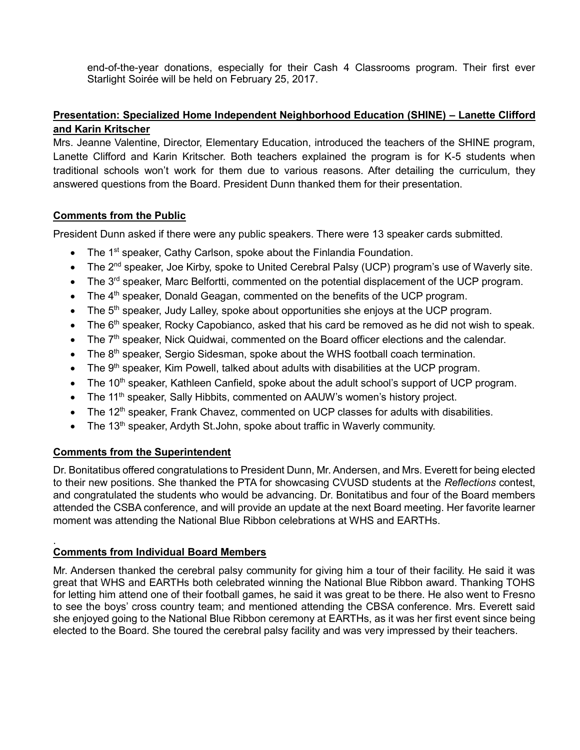end-of-the-year donations, especially for their Cash 4 Classrooms program. Their first ever Starlight Soirée will be held on February 25, 2017.

# **Presentation: Specialized Home Independent Neighborhood Education (SHINE) – Lanette Clifford and Karin Kritscher**

Mrs. Jeanne Valentine, Director, Elementary Education, introduced the teachers of the SHINE program, Lanette Clifford and Karin Kritscher. Both teachers explained the program is for K-5 students when traditional schools won't work for them due to various reasons. After detailing the curriculum, they answered questions from the Board. President Dunn thanked them for their presentation.

# **Comments from the Public**

President Dunn asked if there were any public speakers. There were 13 speaker cards submitted.

- The 1<sup>st</sup> speaker, Cathy Carlson, spoke about the Finlandia Foundation.
- The 2<sup>nd</sup> speaker, Joe Kirby, spoke to United Cerebral Palsy (UCP) program's use of Waverly site.
- The 3<sup>rd</sup> speaker, Marc Belfortti, commented on the potential displacement of the UCP program.
- $\bullet$  The 4<sup>th</sup> speaker, Donald Geagan, commented on the benefits of the UCP program.
- The 5<sup>th</sup> speaker, Judy Lalley, spoke about opportunities she enjoys at the UCP program.
- $\bullet$  The 6<sup>th</sup> speaker, Rocky Capobianco, asked that his card be removed as he did not wish to speak.
- The 7<sup>th</sup> speaker, Nick Quidwai, commented on the Board officer elections and the calendar.
- $\bullet$  The 8<sup>th</sup> speaker, Sergio Sidesman, spoke about the WHS football coach termination.
- The 9<sup>th</sup> speaker, Kim Powell, talked about adults with disabilities at the UCP program.
- $\bullet$  The 10<sup>th</sup> speaker, Kathleen Canfield, spoke about the adult school's support of UCP program.
- The 11<sup>th</sup> speaker, Sally Hibbits, commented on AAUW's women's history project.
- The 12<sup>th</sup> speaker, Frank Chavez, commented on UCP classes for adults with disabilities.
- The  $13<sup>th</sup>$  speaker, Ardyth St.John, spoke about traffic in Waverly community.

# **Comments from the Superintendent**

Dr. Bonitatibus offered congratulations to President Dunn, Mr. Andersen, and Mrs. Everett for being elected to their new positions. She thanked the PTA for showcasing CVUSD students at the *Reflections* contest, and congratulated the students who would be advancing. Dr. Bonitatibus and four of the Board members attended the CSBA conference, and will provide an update at the next Board meeting. Her favorite learner moment was attending the National Blue Ribbon celebrations at WHS and EARTHs.

#### . **Comments from Individual Board Members**

Mr. Andersen thanked the cerebral palsy community for giving him a tour of their facility. He said it was great that WHS and EARTHs both celebrated winning the National Blue Ribbon award. Thanking TOHS for letting him attend one of their football games, he said it was great to be there. He also went to Fresno to see the boys' cross country team; and mentioned attending the CBSA conference. Mrs. Everett said she enjoyed going to the National Blue Ribbon ceremony at EARTHs, as it was her first event since being elected to the Board. She toured the cerebral palsy facility and was very impressed by their teachers.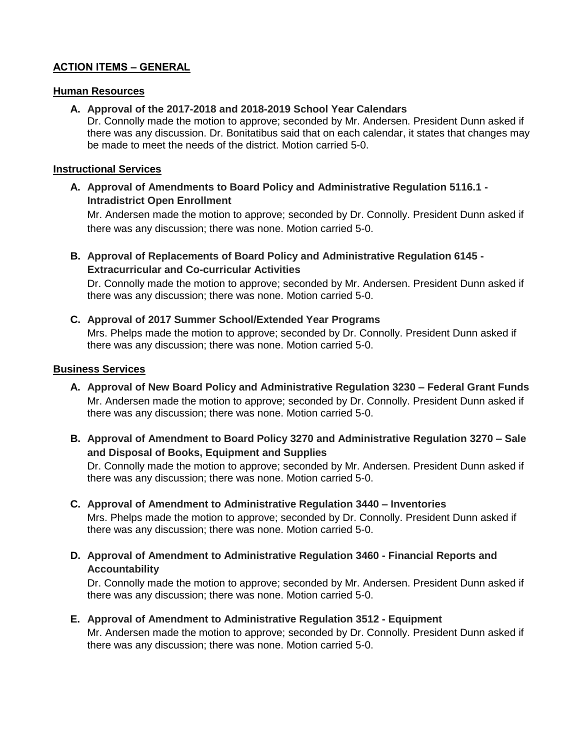# **ACTION ITEMS – GENERAL**

#### **Human Resources**

#### **A. Approval of the 2017-2018 and 2018-2019 School Year Calendars**

Dr. Connolly made the motion to approve; seconded by Mr. Andersen. President Dunn asked if there was any discussion. Dr. Bonitatibus said that on each calendar, it states that changes may be made to meet the needs of the district. Motion carried 5-0.

#### **Instructional Services**

**A. Approval of Amendments to Board Policy and Administrative Regulation 5116.1 - Intradistrict Open Enrollment**

Mr. Andersen made the motion to approve; seconded by Dr. Connolly. President Dunn asked if there was any discussion; there was none. Motion carried 5-0.

**B. Approval of Replacements of Board Policy and Administrative Regulation 6145 - Extracurricular and Co-curricular Activities**

Dr. Connolly made the motion to approve; seconded by Mr. Andersen. President Dunn asked if there was any discussion; there was none. Motion carried 5-0.

# **C. Approval of 2017 Summer School/Extended Year Programs**

Mrs. Phelps made the motion to approve; seconded by Dr. Connolly. President Dunn asked if there was any discussion; there was none. Motion carried 5-0.

### **Business Services**

- **A. Approval of New Board Policy and Administrative Regulation 3230 – Federal Grant Funds** Mr. Andersen made the motion to approve; seconded by Dr. Connolly. President Dunn asked if there was any discussion; there was none. Motion carried 5-0.
- **B. Approval of Amendment to Board Policy 3270 and Administrative Regulation 3270 – Sale and Disposal of Books, Equipment and Supplies**

Dr. Connolly made the motion to approve; seconded by Mr. Andersen. President Dunn asked if there was any discussion; there was none. Motion carried 5-0.

- **C. Approval of Amendment to Administrative Regulation 3440 – Inventories** Mrs. Phelps made the motion to approve; seconded by Dr. Connolly. President Dunn asked if there was any discussion; there was none. Motion carried 5-0.
- **D. Approval of Amendment to Administrative Regulation 3460 - Financial Reports and Accountability**

Dr. Connolly made the motion to approve; seconded by Mr. Andersen. President Dunn asked if there was any discussion; there was none. Motion carried 5-0.

**E. Approval of Amendment to Administrative Regulation 3512 - Equipment** Mr. Andersen made the motion to approve; seconded by Dr. Connolly. President Dunn asked if there was any discussion; there was none. Motion carried 5-0.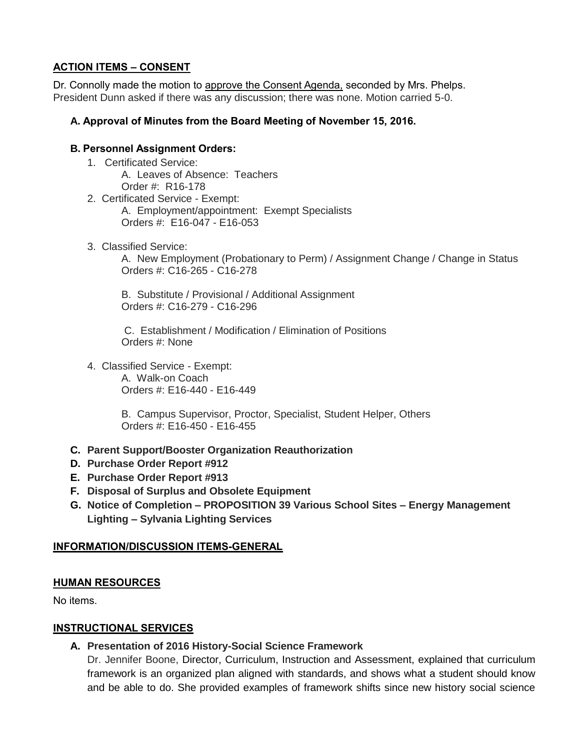# **ACTION ITEMS – CONSENT**

Dr. Connolly made the motion to approve the Consent Agenda, seconded by Mrs. Phelps. President Dunn asked if there was any discussion; there was none. Motion carried 5-0.

### **A. Approval of Minutes from the Board Meeting of November 15, 2016.**

### **B. Personnel Assignment Orders:**

- 1. Certificated Service: A. Leaves of Absence: Teachers Order #: R16-178
- 2. Certificated Service Exempt: A. Employment/appointment: Exempt Specialists Orders #: E16-047 - E16-053
- 3. Classified Service:

 A. New Employment (Probationary to Perm) / Assignment Change / Change in Status Orders #: C16-265 - C16-278

 B. Substitute / Provisional / Additional Assignment Orders #: C16-279 - C16-296

 C. Establishment / Modification / Elimination of Positions Orders #: None

4. Classified Service - Exempt: A. Walk-on Coach Orders #: E16-440 - E16-449

> B. Campus Supervisor, Proctor, Specialist, Student Helper, Others Orders #: E16-450 - E16-455

- **C. Parent Support/Booster Organization Reauthorization**
- **D. Purchase Order Report #912**
- **E. Purchase Order Report #913**
- **F. Disposal of Surplus and Obsolete Equipment**
- **G. Notice of Completion – PROPOSITION 39 Various School Sites – Energy Management Lighting – Sylvania Lighting Services**

#### **INFORMATION/DISCUSSION ITEMS-GENERAL**

#### **HUMAN RESOURCES**

No items.

#### **INSTRUCTIONAL SERVICES**

**A. Presentation of 2016 History-Social Science Framework**

Dr. Jennifer Boone, Director, Curriculum, Instruction and Assessment, explained that curriculum framework is an organized plan aligned with standards, and shows what a student should know and be able to do. She provided examples of framework shifts since new history social science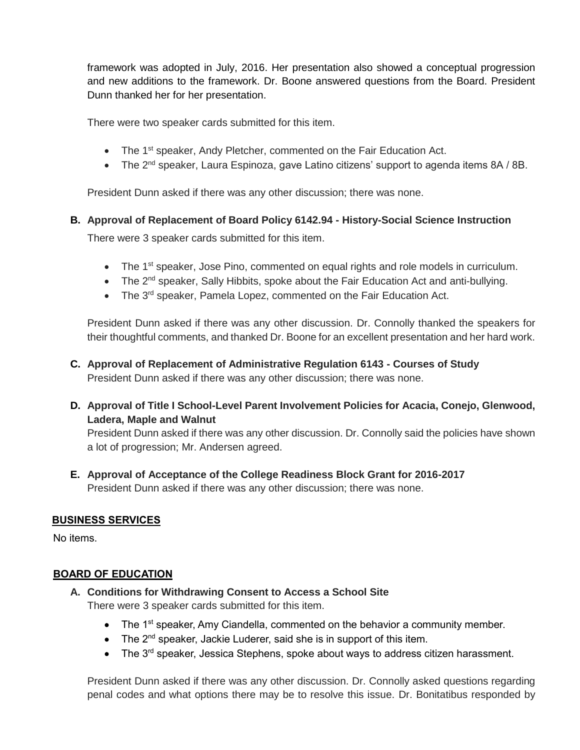framework was adopted in July, 2016. Her presentation also showed a conceptual progression and new additions to the framework. Dr. Boone answered questions from the Board. President Dunn thanked her for her presentation.

There were two speaker cards submitted for this item.

- The 1<sup>st</sup> speaker, Andy Pletcher, commented on the Fair Education Act.
- The 2<sup>nd</sup> speaker, Laura Espinoza, gave Latino citizens' support to agenda items 8A / 8B.

President Dunn asked if there was any other discussion; there was none.

### **B. Approval of Replacement of Board Policy 6142.94 - History-Social Science Instruction**

There were 3 speaker cards submitted for this item.

- The 1<sup>st</sup> speaker, Jose Pino, commented on equal rights and role models in curriculum.
- The 2<sup>nd</sup> speaker, Sally Hibbits, spoke about the Fair Education Act and anti-bullying.
- The 3<sup>rd</sup> speaker, Pamela Lopez, commented on the Fair Education Act.

President Dunn asked if there was any other discussion. Dr. Connolly thanked the speakers for their thoughtful comments, and thanked Dr. Boone for an excellent presentation and her hard work.

- **C. Approval of Replacement of Administrative Regulation 6143 - Courses of Study** President Dunn asked if there was any other discussion; there was none.
- **D. Approval of Title I School-Level Parent Involvement Policies for Acacia, Conejo, Glenwood, Ladera, Maple and Walnut**

President Dunn asked if there was any other discussion. Dr. Connolly said the policies have shown a lot of progression; Mr. Andersen agreed.

**E. Approval of Acceptance of the College Readiness Block Grant for 2016-2017** President Dunn asked if there was any other discussion; there was none.

# **BUSINESS SERVICES**

No items.

#### **BOARD OF EDUCATION**

- **A. Conditions for Withdrawing Consent to Access a School Site** There were 3 speaker cards submitted for this item.
	- The 1<sup>st</sup> speaker, Amy Ciandella, commented on the behavior a community member.
	- $\bullet$  The 2<sup>nd</sup> speaker, Jackie Luderer, said she is in support of this item.
	- $\bullet$  The 3<sup>rd</sup> speaker, Jessica Stephens, spoke about ways to address citizen harassment.

President Dunn asked if there was any other discussion. Dr. Connolly asked questions regarding penal codes and what options there may be to resolve this issue. Dr. Bonitatibus responded by